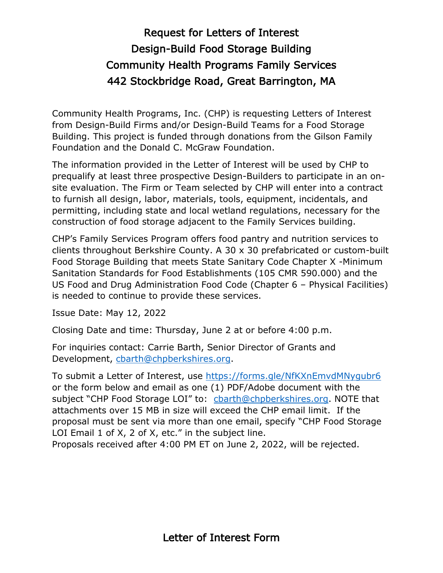## Request for Letters of Interest Design-Build Food Storage Building Community Health Programs Family Services 442 Stockbridge Road, Great Barrington, MA

Community Health Programs, Inc. (CHP) is requesting Letters of Interest from Design-Build Firms and/or Design-Build Teams for a Food Storage Building. This project is funded through donations from the Gilson Family Foundation and the Donald C. McGraw Foundation.

The information provided in the Letter of Interest will be used by CHP to prequalify at least three prospective Design-Builders to participate in an onsite evaluation. The Firm or Team selected by CHP will enter into a contract to furnish all design, labor, materials, tools, equipment, incidentals, and permitting, including state and local wetland regulations, necessary for the construction of food storage adjacent to the Family Services building.

CHP's Family Services Program offers food pantry and nutrition services to clients throughout Berkshire County. A 30 x 30 prefabricated or custom-built Food Storage Building that meets State Sanitary Code Chapter X -Minimum Sanitation Standards for Food Establishments (105 CMR 590.000) and the US Food and Drug Administration Food Code (Chapter 6 – Physical Facilities) is needed to continue to provide these services.

Issue Date: May 12, 2022

Closing Date and time: Thursday, June 2 at or before 4:00 p.m.

For inquiries contact: Carrie Barth, Senior Director of Grants and Development, [cbarth@chpberkshires.org.](mailto:cbarth@chpberkshires.org)

To submit a Letter of Interest, use <https://forms.gle/NfKXnEmvdMNygubr6> or the form below and email as one (1) PDF/Adobe document with the subject "CHP Food Storage LOI" to: [cbarth@chpberkshires.org.](mailto:cbarth@chpberkshires.org) NOTE that attachments over 15 MB in size will exceed the CHP email limit. If the proposal must be sent via more than one email, specify "CHP Food Storage LOI Email 1 of X, 2 of X, etc." in the subject line.

Proposals received after 4:00 PM ET on June 2, 2022, will be rejected.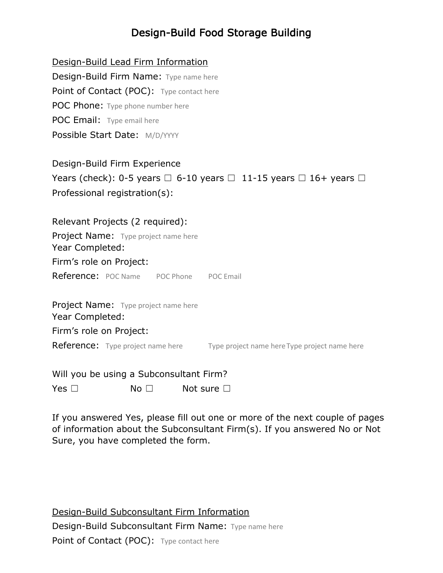## Design-Build Food Storage Building

Design-Build Lead Firm Information Design-Build Firm Name: Type name here Point of Contact (POC): Type contact here POC Phone: Type phone number here POC Email: Type email here Possible Start Date: M/D/YYYY

Design-Build Firm Experience Years (check): 0-5 years  $\Box$  6-10 years  $\Box$  11-15 years  $\Box$  16+ years  $\Box$ Professional registration(s):

Relevant Projects (2 required): Project Name: Type project name here Year Completed: Firm's role on Project: Reference: POC Name POC Phone POC Email **Project Name:** Type project name here Year Completed: Firm's role on Project:

**Reference:** Type project name here Type project name here Type project name here

Will you be using a Subconsultant Firm?

Yes □ No □ Not sure □

If you answered Yes, please fill out one or more of the next couple of pages of information about the Subconsultant Firm(s). If you answered No or Not Sure, you have completed the form.

Design-Build Subconsultant Firm Information Design-Build Subconsultant Firm Name: Type name here Point of Contact (POC): Type contact here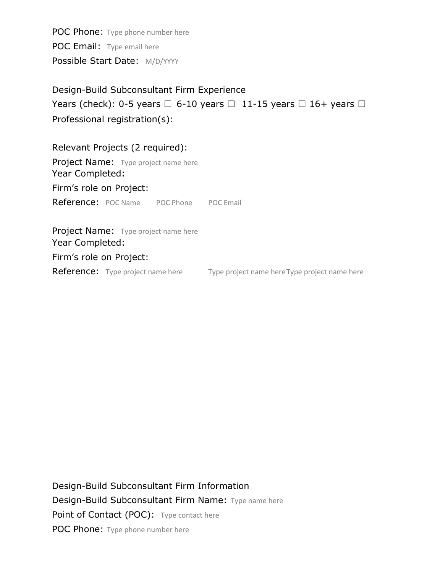POC Phone: Type phone number here POC Email: Type email here Possible Start Date: M/D/YYYY

Design-Build Subconsultant Firm Experience Years (check): 0-5 years  $\Box$  6-10 years  $\Box$  11-15 years  $\Box$  16+ years  $\Box$ Professional registration(s):

Relevant Projects (2 required): Project Name: Type project name here Year Completed: Firm's role on Project: Reference: POC Name POC Phone POC Email Project Name: Type project name here Year Completed:

Firm's role on Project:

Reference: Type project name here Type project name here Type project name here

Design-Build Subconsultant Firm Information Design-Build Subconsultant Firm Name: Type name here Point of Contact (POC): Type contact here POC Phone: Type phone number here